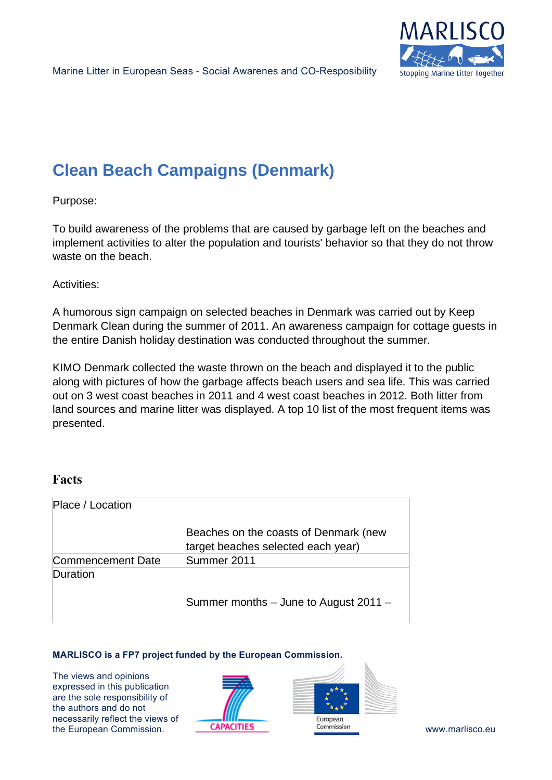

# **Clean Beach Campaigns (Denmark)**

Purpose:

To build awareness of the problems that are caused by garbage left on the beaches and implement activities to alter the population and tourists' behavior so that they do not throw waste on the beach.

Activities:

A humorous sign campaign on selected beaches in Denmark was carried out by Keep Denmark Clean during the summer of 2011. An awareness campaign for cottage guests in the entire Danish holiday destination was conducted throughout the summer.

KIMO Denmark collected the waste thrown on the beach and displayed it to the public along with pictures of how the garbage affects beach users and sea life. This was carried out on 3 west coast beaches in 2011 and 4 west coast beaches in 2012. Both litter from land sources and marine litter was displayed. A top 10 list of the most frequent items was presented.

## **Facts**

| Place / Location         |                                                                             |
|--------------------------|-----------------------------------------------------------------------------|
|                          | Beaches on the coasts of Denmark (new<br>target beaches selected each year) |
| <b>Commencement Date</b> | Summer 2011                                                                 |
| Duration                 |                                                                             |
|                          | Summer months – June to August 2011 –                                       |

#### **MARLISCO is a FP7 project funded by the European Commission.**

The views and opinions expressed in this publication are the sole responsibility of the authors and do not necessarily reflect the views of the European Commission. The CAPACITIES Commission Commission www.marlisco.eu



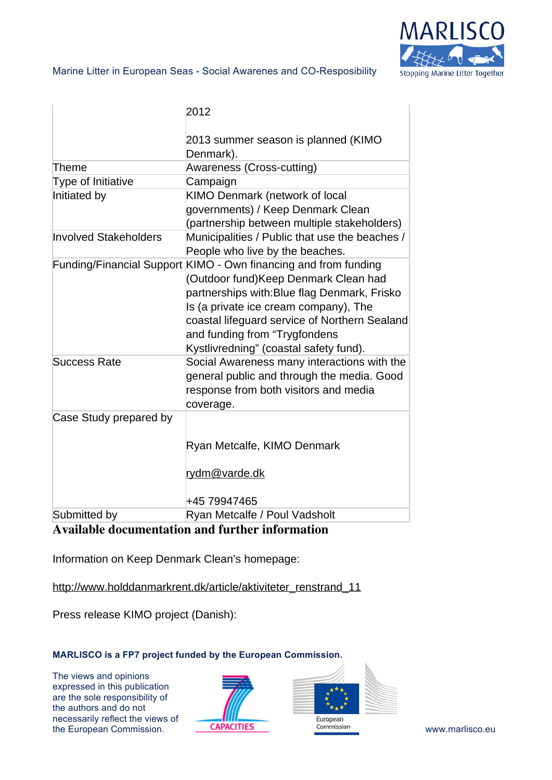

|                              | 2012                                                                                                                                                                                                                                                                                                                         |
|------------------------------|------------------------------------------------------------------------------------------------------------------------------------------------------------------------------------------------------------------------------------------------------------------------------------------------------------------------------|
|                              | 2013 summer season is planned (KIMO<br>Denmark).                                                                                                                                                                                                                                                                             |
| Theme                        | Awareness (Cross-cutting)                                                                                                                                                                                                                                                                                                    |
| Type of Initiative           | Campaign                                                                                                                                                                                                                                                                                                                     |
| Initiated by                 | KIMO Denmark (network of local<br>governments) / Keep Denmark Clean<br>(partnership between multiple stakeholders)                                                                                                                                                                                                           |
| <b>Involved Stakeholders</b> | Municipalities / Public that use the beaches /<br>People who live by the beaches.                                                                                                                                                                                                                                            |
|                              | Funding/Financial Support KIMO - Own financing and from funding<br>(Outdoor fund)Keep Denmark Clean had<br>partnerships with: Blue flag Denmark, Frisko<br>Is (a private ice cream company), The<br>coastal lifeguard service of Northern Sealand<br>and funding from "Trygfondens<br>Kystlivredning" (coastal safety fund). |
| <b>Success Rate</b>          | Social Awareness many interactions with the<br>general public and through the media. Good<br>response from both visitors and media<br>coverage.                                                                                                                                                                              |
| Case Study prepared by       | Ryan Metcalfe, KIMO Denmark<br>rydm@varde.dk<br>+45 79947465                                                                                                                                                                                                                                                                 |
| Submitted by                 | Ryan Metcalfe / Poul Vadsholt                                                                                                                                                                                                                                                                                                |
| $\cdots$ $\cdots$ $\cdots$   |                                                                                                                                                                                                                                                                                                                              |

## **Available documentation and further information**

Information on Keep Denmark Clean's homepage:

[http://www.holddanmarkrent.dk/article/aktiviteter\\_renstrand\\_11](http://www.holddanmarkrent.dk/article/aktiviteter_renstrand_11)

Press release KIMO project (Danish):

### **MARLISCO is a FP7 project funded by the European Commission.**

The views and opinions expressed in this publication are the sole responsibility of the authors and do not necessarily reflect the views of the European Commission. **CAPACITIES COMMISSION COMMISSION COMMISSION COMMISSION WWW.marlisco.eu**